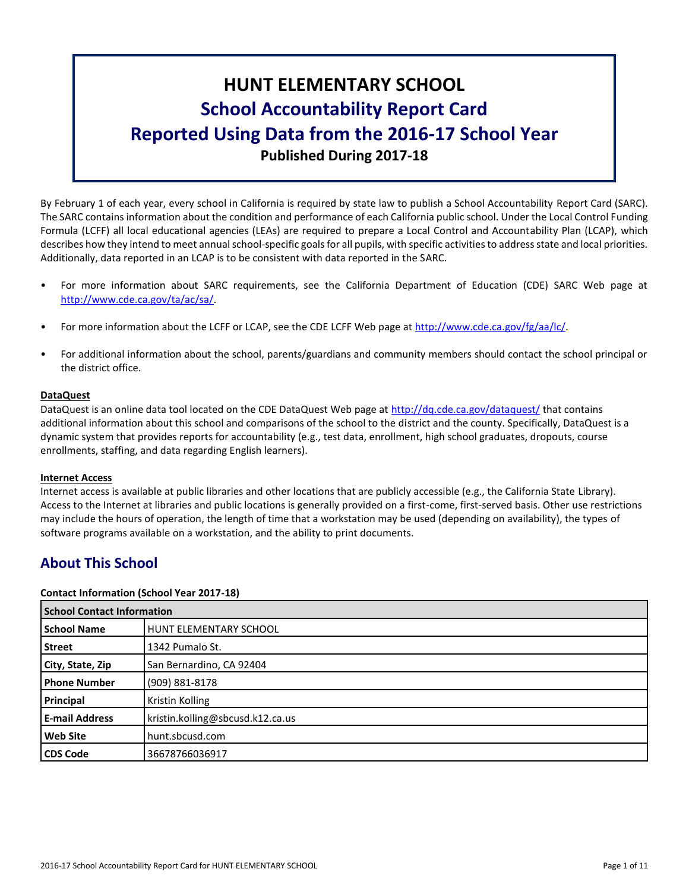# **HUNT ELEMENTARY SCHOOL School Accountability Report Card Reported Using Data from the 2016-17 School Year Published During 2017-18**

By February 1 of each year, every school in California is required by state law to publish a School Accountability Report Card (SARC). The SARC contains information about the condition and performance of each California public school. Under the Local Control Funding Formula (LCFF) all local educational agencies (LEAs) are required to prepare a Local Control and Accountability Plan (LCAP), which describes how they intend to meet annual school-specific goals for all pupils, with specific activities to address state and local priorities. Additionally, data reported in an LCAP is to be consistent with data reported in the SARC.

- For more information about SARC requirements, see the California Department of Education (CDE) SARC Web page at [http://www.cde.ca.gov/ta/ac/sa/.](http://www.cde.ca.gov/ta/ac/sa/)
- For more information about the LCFF or LCAP, see the CDE LCFF Web page at [http://www.cde.ca.gov/fg/aa/lc/.](http://www.cde.ca.gov/fg/aa/lc/)
- For additional information about the school, parents/guardians and community members should contact the school principal or the district office.

# **DataQuest**

DataQuest is an online data tool located on the CDE DataQuest Web page at<http://dq.cde.ca.gov/dataquest/> that contains additional information about this school and comparisons of the school to the district and the county. Specifically, DataQuest is a dynamic system that provides reports for accountability (e.g., test data, enrollment, high school graduates, dropouts, course enrollments, staffing, and data regarding English learners).

# **Internet Access**

Internet access is available at public libraries and other locations that are publicly accessible (e.g., the California State Library). Access to the Internet at libraries and public locations is generally provided on a first-come, first-served basis. Other use restrictions may include the hours of operation, the length of time that a workstation may be used (depending on availability), the types of software programs available on a workstation, and the ability to print documents.

# **About This School**

# **Contact Information (School Year 2017-18)**

|                       | <b>School Contact Information</b> |  |  |  |  |
|-----------------------|-----------------------------------|--|--|--|--|
| <b>School Name</b>    | HUNT ELEMENTARY SCHOOL            |  |  |  |  |
| <b>Street</b>         | 1342 Pumalo St.                   |  |  |  |  |
| City, State, Zip      | San Bernardino, CA 92404          |  |  |  |  |
| <b>Phone Number</b>   | (909) 881-8178                    |  |  |  |  |
| Principal             | <b>Kristin Kolling</b>            |  |  |  |  |
| <b>E-mail Address</b> | kristin.kolling@sbcusd.k12.ca.us  |  |  |  |  |
| <b>Web Site</b>       | hunt.sbcusd.com                   |  |  |  |  |
| <b>CDS Code</b>       | 36678766036917                    |  |  |  |  |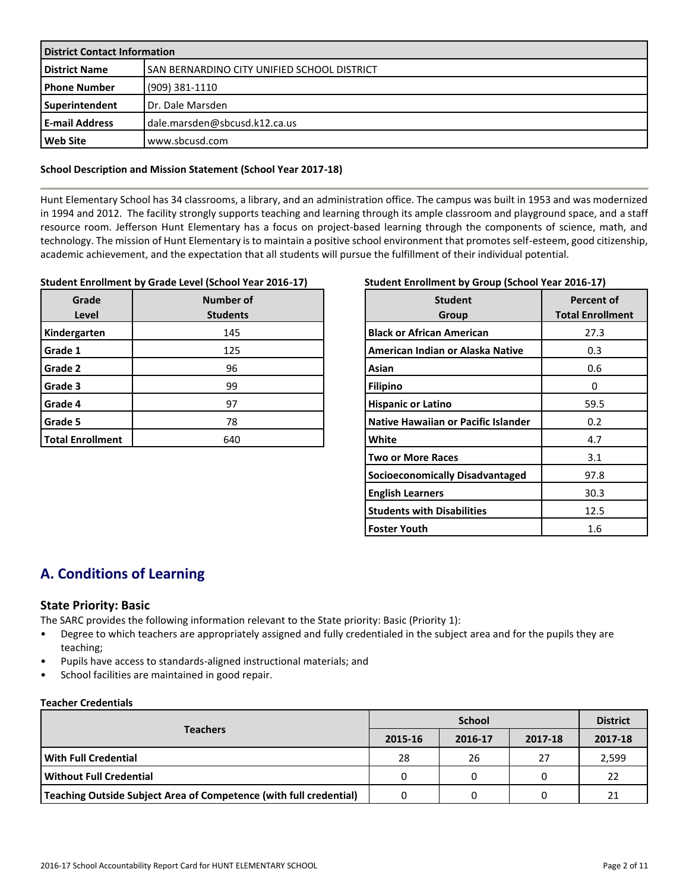| <b>District Contact Information</b> |                                             |  |  |  |
|-------------------------------------|---------------------------------------------|--|--|--|
| <b>District Name</b>                | SAN BERNARDINO CITY UNIFIED SCHOOL DISTRICT |  |  |  |
| <b>I Phone Number</b>               | (909) 381-1110                              |  |  |  |
| Superintendent                      | Dr. Dale Marsden                            |  |  |  |
| <b>E-mail Address</b>               | dale.marsden@sbcusd.k12.ca.us               |  |  |  |
| Web Site                            | www.sbcusd.com                              |  |  |  |

### **School Description and Mission Statement (School Year 2017-18)**

Hunt Elementary School has 34 classrooms, a library, and an administration office. The campus was built in 1953 and was modernized in 1994 and 2012. The facility strongly supports teaching and learning through its ample classroom and playground space, and a staff resource room. Jefferson Hunt Elementary has a focus on project-based learning through the components of science, math, and technology. The mission of Hunt Elementary is to maintain a positive school environment that promotes self-esteem, good citizenship, academic achievement, and the expectation that all students will pursue the fulfillment of their individual potential.

#### **Student Enrollment by Grade Level (School Year 2016-17)**

| Grade<br>Level          | Number of<br><b>Students</b> |
|-------------------------|------------------------------|
| Kindergarten            | 145                          |
| Grade 1                 | 125                          |
| Grade 2                 | 96                           |
| Grade 3                 | 99                           |
| Grade 4                 | 97                           |
| Grade 5                 | 78                           |
| <b>Total Enrollment</b> | 640                          |

# **Student Enrollment by Group (School Year 2016-17)**

| <b>Student</b><br>Group             | <b>Percent of</b><br><b>Total Enrollment</b> |
|-------------------------------------|----------------------------------------------|
| <b>Black or African American</b>    | 27.3                                         |
| American Indian or Alaska Native    | 0.3                                          |
| Asian                               | 0.6                                          |
| <b>Filipino</b>                     | Ω                                            |
| <b>Hispanic or Latino</b>           | 59.5                                         |
| Native Hawaiian or Pacific Islander | 0.2                                          |
| <b>White</b>                        | 4.7                                          |
| <b>Two or More Races</b>            | 3.1                                          |
| Socioeconomically Disadvantaged     | 97.8                                         |
| <b>English Learners</b>             | 30.3                                         |
| <b>Students with Disabilities</b>   | 12.5                                         |
| Foster Youth                        | 1.6                                          |

# **A. Conditions of Learning**

# **State Priority: Basic**

The SARC provides the following information relevant to the State priority: Basic (Priority 1):

- Degree to which teachers are appropriately assigned and fully credentialed in the subject area and for the pupils they are teaching;
- Pupils have access to standards-aligned instructional materials; and
- School facilities are maintained in good repair.

### **Teacher Credentials**

|                                                                    |         | <b>District</b> |         |         |
|--------------------------------------------------------------------|---------|-----------------|---------|---------|
| <b>Teachers</b>                                                    | 2015-16 | 2016-17         | 2017-18 | 2017-18 |
| With Full Credential                                               | 28      | 26              | 27      | 2,599   |
| Without Full Credential                                            | 0       |                 |         | 22      |
| Teaching Outside Subject Area of Competence (with full credential) |         |                 |         | 21      |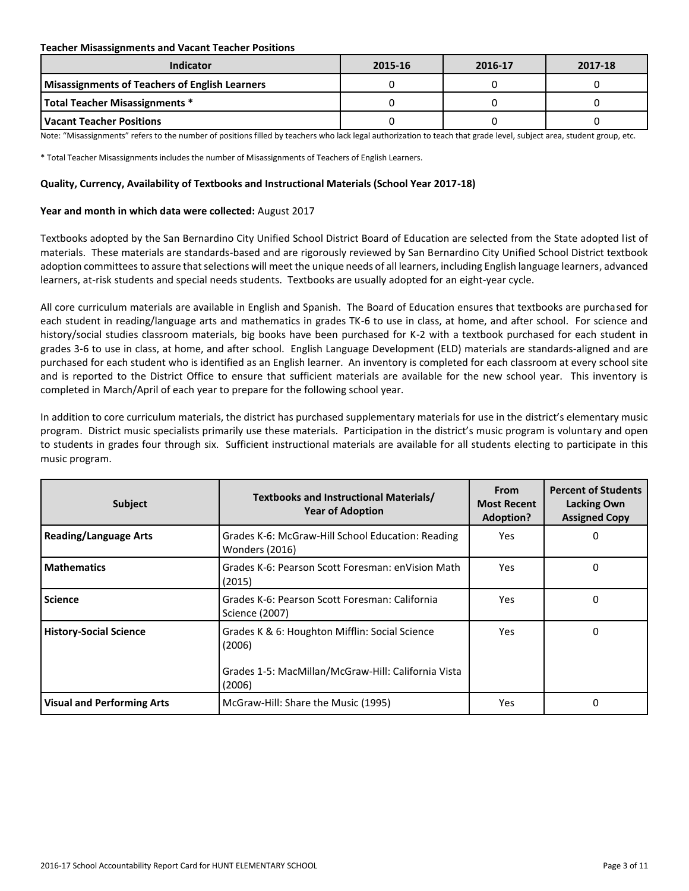#### **Teacher Misassignments and Vacant Teacher Positions**

| Indicator                                             | 2015-16 | 2016-17 | 2017-18 |
|-------------------------------------------------------|---------|---------|---------|
| <b>Misassignments of Teachers of English Learners</b> |         |         |         |
| <b>Total Teacher Misassignments *</b>                 |         |         |         |
| l Vacant Teacher Positions                            |         |         |         |

Note: "Misassignments" refers to the number of positions filled by teachers who lack legal authorization to teach that grade level, subject area, student group, etc.

\* Total Teacher Misassignments includes the number of Misassignments of Teachers of English Learners.

#### **Quality, Currency, Availability of Textbooks and Instructional Materials (School Year 2017-18)**

### **Year and month in which data were collected:** August 2017

Textbooks adopted by the San Bernardino City Unified School District Board of Education are selected from the State adopted list of materials. These materials are standards-based and are rigorously reviewed by San Bernardino City Unified School District textbook adoption committees to assure that selections will meet the unique needs of all learners, including English language learners, advanced learners, at-risk students and special needs students. Textbooks are usually adopted for an eight-year cycle.

All core curriculum materials are available in English and Spanish. The Board of Education ensures that textbooks are purchased for each student in reading/language arts and mathematics in grades TK-6 to use in class, at home, and after school. For science and history/social studies classroom materials, big books have been purchased for K-2 with a textbook purchased for each student in grades 3-6 to use in class, at home, and after school. English Language Development (ELD) materials are standards-aligned and are purchased for each student who is identified as an English learner. An inventory is completed for each classroom at every school site and is reported to the District Office to ensure that sufficient materials are available for the new school year. This inventory is completed in March/April of each year to prepare for the following school year.

In addition to core curriculum materials, the district has purchased supplementary materials for use in the district's elementary music program. District music specialists primarily use these materials. Participation in the district's music program is voluntary and open to students in grades four through six. Sufficient instructional materials are available for all students electing to participate in this music program.

| <b>Subject</b>                    | Textbooks and Instructional Materials/<br><b>Year of Adoption</b>                                                         | <b>From</b><br><b>Most Recent</b><br><b>Adoption?</b> | <b>Percent of Students</b><br><b>Lacking Own</b><br><b>Assigned Copy</b> |
|-----------------------------------|---------------------------------------------------------------------------------------------------------------------------|-------------------------------------------------------|--------------------------------------------------------------------------|
| <b>Reading/Language Arts</b>      | Grades K-6: McGraw-Hill School Education: Reading<br>Wonders (2016)                                                       | Yes                                                   | 0                                                                        |
| <b>Mathematics</b>                | Grades K-6: Pearson Scott Foresman: enVision Math<br>(2015)                                                               | Yes                                                   | 0                                                                        |
| <b>Science</b>                    | Grades K-6: Pearson Scott Foresman: California<br>Science (2007)                                                          | Yes.                                                  | 0                                                                        |
| <b>History-Social Science</b>     | Grades K & 6: Houghton Mifflin: Social Science<br>(2006)<br>Grades 1-5: MacMillan/McGraw-Hill: California Vista<br>(2006) | Yes                                                   | 0                                                                        |
| <b>Visual and Performing Arts</b> | McGraw-Hill: Share the Music (1995)                                                                                       | Yes                                                   | 0                                                                        |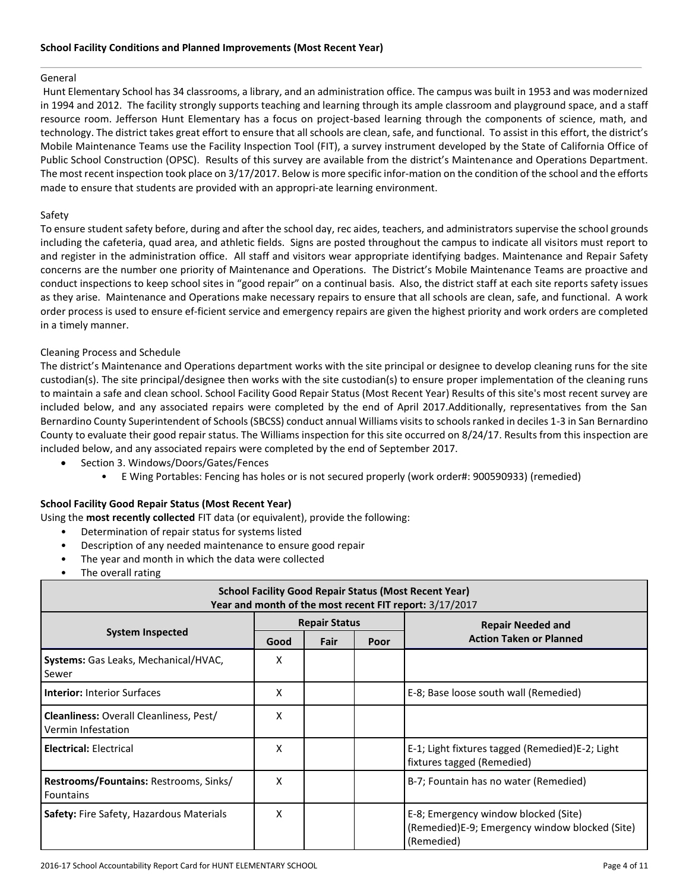#### General

Hunt Elementary School has 34 classrooms, a library, and an administration office. The campus was built in 1953 and was modernized in 1994 and 2012. The facility strongly supports teaching and learning through its ample classroom and playground space, and a staff resource room. Jefferson Hunt Elementary has a focus on project-based learning through the components of science, math, and technology. The district takes great effort to ensure that all schools are clean, safe, and functional. To assist in this effort, the district's Mobile Maintenance Teams use the Facility Inspection Tool (FIT), a survey instrument developed by the State of California Office of Public School Construction (OPSC). Results of this survey are available from the district's Maintenance and Operations Department. The most recent inspection took place on 3/17/2017. Below is more specific infor-mation on the condition of the school and the efforts made to ensure that students are provided with an appropri-ate learning environment.

### Safety

To ensure student safety before, during and after the school day, rec aides, teachers, and administrators supervise the school grounds including the cafeteria, quad area, and athletic fields. Signs are posted throughout the campus to indicate all visitors must report to and register in the administration office. All staff and visitors wear appropriate identifying badges. Maintenance and Repair Safety concerns are the number one priority of Maintenance and Operations. The District's Mobile Maintenance Teams are proactive and conduct inspections to keep school sites in "good repair" on a continual basis. Also, the district staff at each site reports safety issues as they arise. Maintenance and Operations make necessary repairs to ensure that all schools are clean, safe, and functional. A work order process is used to ensure ef-ficient service and emergency repairs are given the highest priority and work orders are completed in a timely manner.

# Cleaning Process and Schedule

The district's Maintenance and Operations department works with the site principal or designee to develop cleaning runs for the site custodian(s). The site principal/designee then works with the site custodian(s) to ensure proper implementation of the cleaning runs to maintain a safe and clean school. School Facility Good Repair Status (Most Recent Year) Results of this site's most recent survey are included below, and any associated repairs were completed by the end of April 2017.Additionally, representatives from the San Bernardino County Superintendent of Schools (SBCSS) conduct annual Williams visits to schools ranked in deciles 1-3 in San Bernardino County to evaluate their good repair status. The Williams inspection for this site occurred on 8/24/17. Results from this inspection are included below, and any associated repairs were completed by the end of September 2017.

- Section 3. Windows/Doors/Gates/Fences
	- E Wing Portables: Fencing has holes or is not secured properly (work order#: 900590933) (remedied)

# **School Facility Good Repair Status (Most Recent Year)**

- Using the **most recently collected** FIT data (or equivalent), provide the following:
	- Determination of repair status for systems listed
	- Description of any needed maintenance to ensure good repair
	- The year and month in which the data were collected
	- The overall rating

| <b>School Facility Good Repair Status (Most Recent Year)</b><br>Year and month of the most recent FIT report: 3/17/2017 |      |                      |  |                                                                                                      |  |  |  |
|-------------------------------------------------------------------------------------------------------------------------|------|----------------------|--|------------------------------------------------------------------------------------------------------|--|--|--|
|                                                                                                                         |      | <b>Repair Status</b> |  | <b>Repair Needed and</b>                                                                             |  |  |  |
| <b>System Inspected</b>                                                                                                 | Good | Fair<br>Poor         |  | <b>Action Taken or Planned</b>                                                                       |  |  |  |
| Systems: Gas Leaks, Mechanical/HVAC,<br>Sewer                                                                           | x    |                      |  |                                                                                                      |  |  |  |
| <b>Interior:</b> Interior Surfaces                                                                                      | x    |                      |  | E-8; Base loose south wall (Remedied)                                                                |  |  |  |
| <b>Cleanliness: Overall Cleanliness, Pest/</b><br>Vermin Infestation                                                    | x    |                      |  |                                                                                                      |  |  |  |
| <b>Electrical: Electrical</b>                                                                                           | X    |                      |  | E-1; Light fixtures tagged (Remedied)E-2; Light<br>fixtures tagged (Remedied)                        |  |  |  |
| Restrooms/Fountains: Restrooms, Sinks/<br>Fountains                                                                     | x    |                      |  | B-7; Fountain has no water (Remedied)                                                                |  |  |  |
| Safety: Fire Safety, Hazardous Materials                                                                                | X    |                      |  | E-8; Emergency window blocked (Site)<br>(Remedied)E-9; Emergency window blocked (Site)<br>(Remedied) |  |  |  |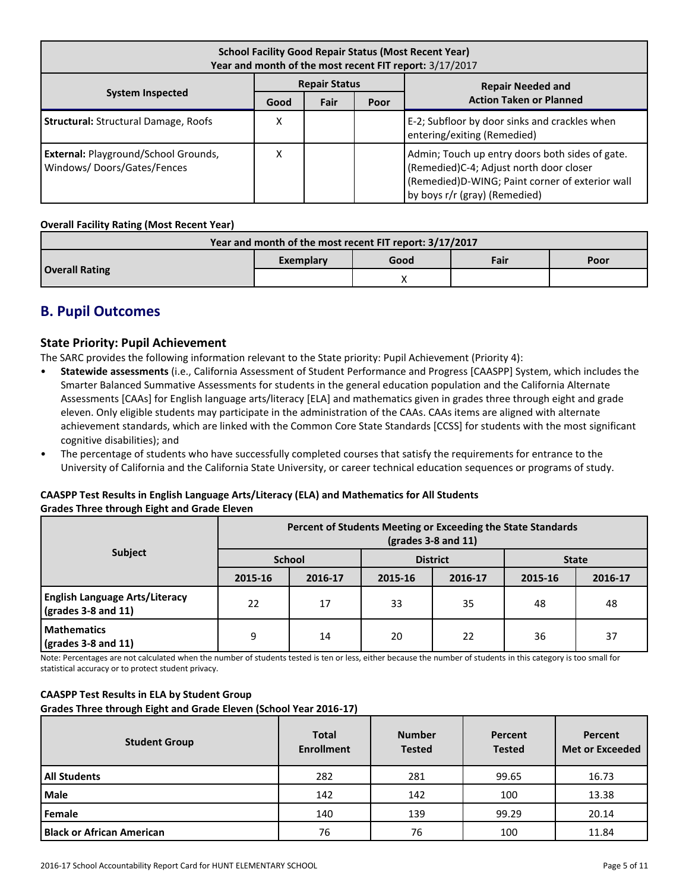| <b>School Facility Good Repair Status (Most Recent Year)</b><br>Year and month of the most recent FIT report: 3/17/2017 |      |      |      |                                                                                                                                                                                |  |  |
|-------------------------------------------------------------------------------------------------------------------------|------|------|------|--------------------------------------------------------------------------------------------------------------------------------------------------------------------------------|--|--|
| <b>Repair Status</b><br><b>Repair Needed and</b>                                                                        |      |      |      |                                                                                                                                                                                |  |  |
| <b>System Inspected</b>                                                                                                 | Good | Fair | Poor | <b>Action Taken or Planned</b>                                                                                                                                                 |  |  |
| <b>Structural: Structural Damage, Roofs</b>                                                                             | Χ    |      |      | E-2; Subfloor by door sinks and crackles when<br>entering/exiting (Remedied)                                                                                                   |  |  |
| <b>External: Playground/School Grounds,</b><br>Windows/Doors/Gates/Fences                                               | Χ    |      |      | Admin; Touch up entry doors both sides of gate.<br>(Remedied)C-4; Adjust north door closer<br>(Remedied)D-WING; Paint corner of exterior wall<br>by boys r/r (gray) (Remedied) |  |  |

### **Overall Facility Rating (Most Recent Year)**

| Year and month of the most recent FIT report: 3/17/2017 |           |      |      |      |  |  |  |
|---------------------------------------------------------|-----------|------|------|------|--|--|--|
|                                                         | Exemplary | Good | Fair | Poor |  |  |  |
| <b>Overall Rating</b>                                   |           |      |      |      |  |  |  |

# **B. Pupil Outcomes**

# **State Priority: Pupil Achievement**

The SARC provides the following information relevant to the State priority: Pupil Achievement (Priority 4):

- **Statewide assessments** (i.e., California Assessment of Student Performance and Progress [CAASPP] System, which includes the Smarter Balanced Summative Assessments for students in the general education population and the California Alternate Assessments [CAAs] for English language arts/literacy [ELA] and mathematics given in grades three through eight and grade eleven. Only eligible students may participate in the administration of the CAAs. CAAs items are aligned with alternate achievement standards, which are linked with the Common Core State Standards [CCSS] for students with the most significant cognitive disabilities); and
- The percentage of students who have successfully completed courses that satisfy the requirements for entrance to the University of California and the California State University, or career technical education sequences or programs of study.

# **CAASPP Test Results in English Language Arts/Literacy (ELA) and Mathematics for All Students Grades Three through Eight and Grade Eleven**

|                                                                               | Percent of Students Meeting or Exceeding the State Standards<br>$\left(\text{grades }3 - 8 \text{ and } 11\right)$ |               |         |                 |              |         |  |
|-------------------------------------------------------------------------------|--------------------------------------------------------------------------------------------------------------------|---------------|---------|-----------------|--------------|---------|--|
| Subject                                                                       |                                                                                                                    | <b>School</b> |         | <b>District</b> | <b>State</b> |         |  |
|                                                                               | 2015-16                                                                                                            | 2016-17       | 2015-16 | 2016-17         | 2015-16      | 2016-17 |  |
| <b>English Language Arts/Literacy</b><br>$\left($ grades 3-8 and 11 $\right)$ | 22                                                                                                                 | 17            | 33      | 35              | 48           | 48      |  |
| <b>Mathematics</b><br>$\left($ grades 3-8 and 11 $\right)$                    | 9                                                                                                                  | 14            | 20      | 22              | 36           | 37      |  |

Note: Percentages are not calculated when the number of students tested is ten or less, either because the number of students in this category is too small for statistical accuracy or to protect student privacy.

# **CAASPP Test Results in ELA by Student Group**

**Grades Three through Eight and Grade Eleven (School Year 2016-17)**

| <b>Student Group</b>             | <b>Total</b><br><b>Enrollment</b> | <b>Number</b><br><b>Tested</b> | Percent<br><b>Tested</b> | Percent<br><b>Met or Exceeded</b> |
|----------------------------------|-----------------------------------|--------------------------------|--------------------------|-----------------------------------|
| <b>All Students</b>              | 282                               | 281                            | 99.65                    | 16.73                             |
| <b>Male</b>                      | 142                               | 142                            | 100                      | 13.38                             |
| Female                           | 140                               | 139                            | 99.29                    | 20.14                             |
| <b>Black or African American</b> | 76                                | 76                             | 100                      | 11.84                             |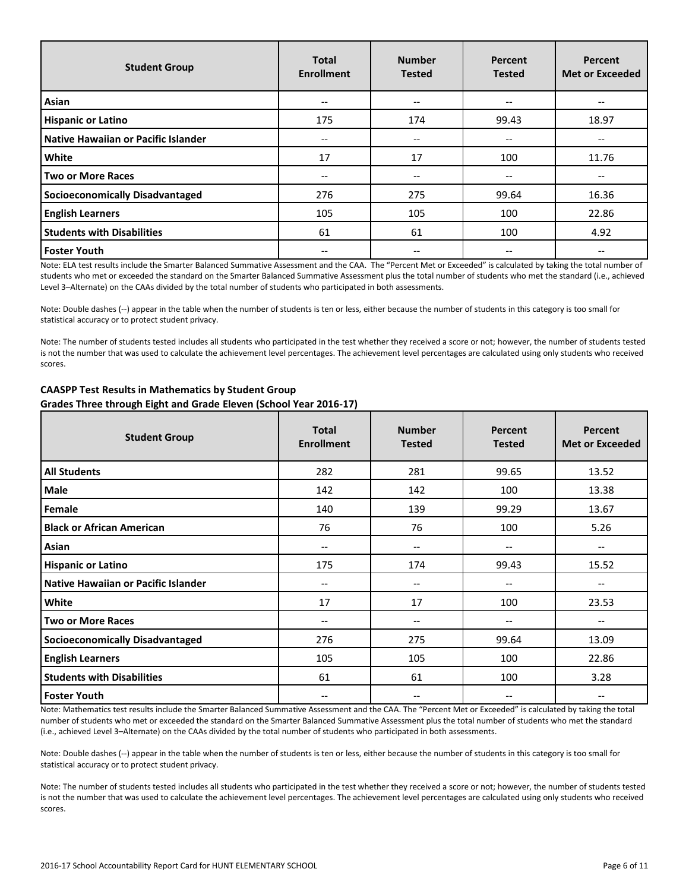| <b>Student Group</b>                | <b>Total</b><br><b>Enrollment</b> | <b>Number</b><br><b>Tested</b> | Percent<br><b>Tested</b> | Percent<br><b>Met or Exceeded</b> |
|-------------------------------------|-----------------------------------|--------------------------------|--------------------------|-----------------------------------|
| Asian                               | $-$                               | --                             | --                       |                                   |
| <b>Hispanic or Latino</b>           | 175                               | 174                            | 99.43                    | 18.97                             |
| Native Hawaiian or Pacific Islander | $- -$                             | --                             | $- -$                    | --                                |
| <b>White</b>                        | 17                                | 17                             | 100                      | 11.76                             |
| Two or More Races                   |                                   | --                             | --                       |                                   |
| Socioeconomically Disadvantaged     | 276                               | 275                            | 99.64                    | 16.36                             |
| <b>English Learners</b>             | 105                               | 105                            | 100                      | 22.86                             |
| <b>Students with Disabilities</b>   | 61                                | 61                             | 100                      | 4.92                              |
| <b>Foster Youth</b>                 |                                   | --                             | $- -$                    |                                   |

Note: ELA test results include the Smarter Balanced Summative Assessment and the CAA. The "Percent Met or Exceeded" is calculated by taking the total number of students who met or exceeded the standard on the Smarter Balanced Summative Assessment plus the total number of students who met the standard (i.e., achieved Level 3–Alternate) on the CAAs divided by the total number of students who participated in both assessments.

Note: Double dashes (--) appear in the table when the number of students is ten or less, either because the number of students in this category is too small for statistical accuracy or to protect student privacy.

Note: The number of students tested includes all students who participated in the test whether they received a score or not; however, the number of students tested is not the number that was used to calculate the achievement level percentages. The achievement level percentages are calculated using only students who received scores.

| <b>Student Group</b>                   | <b>Total</b><br><b>Enrollment</b> | <b>Number</b><br><b>Tested</b>        | Percent<br><b>Tested</b> | <b>Percent</b><br><b>Met or Exceeded</b> |  |
|----------------------------------------|-----------------------------------|---------------------------------------|--------------------------|------------------------------------------|--|
| <b>All Students</b>                    | 282                               | 281                                   | 99.65                    | 13.52                                    |  |
| Male                                   | 142                               | 142                                   | 100                      | 13.38                                    |  |
| Female                                 | 140                               | 139                                   | 99.29                    | 13.67                                    |  |
| <b>Black or African American</b>       | 76                                | 76<br>100                             |                          | 5.26                                     |  |
| Asian                                  | --                                | $\hspace{0.05cm} \ldots$              | --                       | --                                       |  |
| <b>Hispanic or Latino</b>              | 175                               | 174                                   | 99.43                    | 15.52                                    |  |
| Native Hawaiian or Pacific Islander    | --                                | $-\!$ $\!-$                           | --                       | --                                       |  |
| White                                  | 17                                | 17                                    | 100                      | 23.53                                    |  |
| <b>Two or More Races</b>               | --                                | $\hspace{0.05cm}$ – $\hspace{0.05cm}$ | --                       | --                                       |  |
| <b>Socioeconomically Disadvantaged</b> | 276                               | 275                                   | 99.64                    | 13.09                                    |  |
| <b>English Learners</b>                | 105                               | 105                                   | 100                      | 22.86                                    |  |
| <b>Students with Disabilities</b>      | 61                                | 61                                    | 100                      | 3.28                                     |  |
| <b>Foster Youth</b>                    | --                                | $\hspace{0.05cm}$ – $\hspace{0.05cm}$ | --                       | --                                       |  |

# **CAASPP Test Results in Mathematics by Student Group Grades Three through Eight and Grade Eleven (School Year 2016-17)**

Note: Mathematics test results include the Smarter Balanced Summative Assessment and the CAA. The "Percent Met or Exceeded" is calculated by taking the total number of students who met or exceeded the standard on the Smarter Balanced Summative Assessment plus the total number of students who met the standard (i.e., achieved Level 3–Alternate) on the CAAs divided by the total number of students who participated in both assessments.

Note: Double dashes (--) appear in the table when the number of students is ten or less, either because the number of students in this category is too small for statistical accuracy or to protect student privacy.

Note: The number of students tested includes all students who participated in the test whether they received a score or not; however, the number of students tested is not the number that was used to calculate the achievement level percentages. The achievement level percentages are calculated using only students who received scores.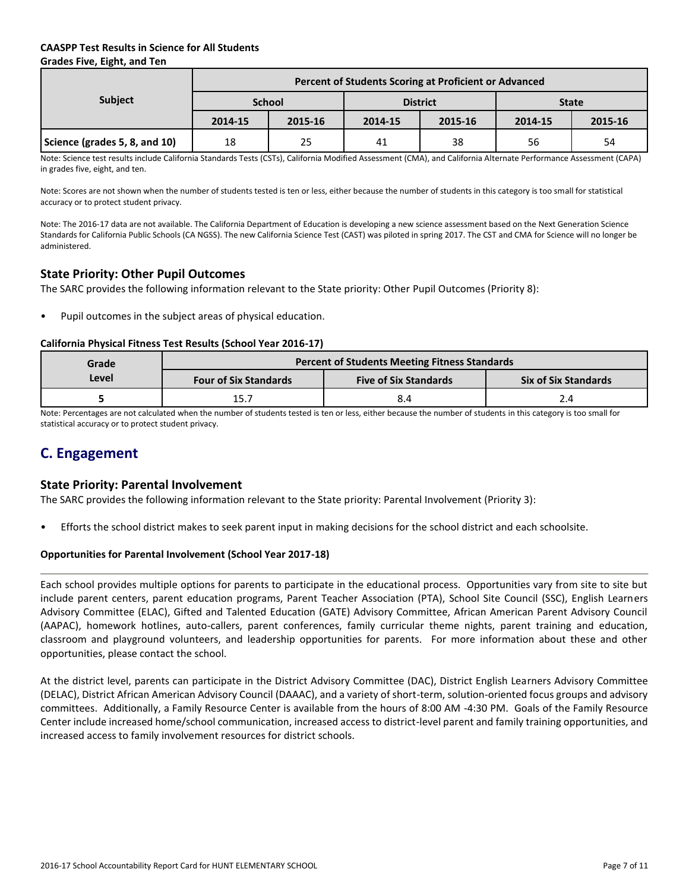# **CAASPP Test Results in Science for All Students Grades Five, Eight, and Ten**

|                               | Percent of Students Scoring at Proficient or Advanced |         |         |                 |              |         |  |  |  |
|-------------------------------|-------------------------------------------------------|---------|---------|-----------------|--------------|---------|--|--|--|
| <b>Subject</b>                | <b>School</b>                                         |         |         | <b>District</b> | <b>State</b> |         |  |  |  |
|                               | 2014-15                                               | 2015-16 | 2014-15 | 2015-16         | 2014-15      | 2015-16 |  |  |  |
| Science (grades 5, 8, and 10) | 18                                                    | 25      | 41      | 38              | 56           | 54      |  |  |  |

Note: Science test results include California Standards Tests (CSTs), California Modified Assessment (CMA), and California Alternate Performance Assessment (CAPA) in grades five, eight, and ten.

Note: Scores are not shown when the number of students tested is ten or less, either because the number of students in this category is too small for statistical accuracy or to protect student privacy.

Note: The 2016-17 data are not available. The California Department of Education is developing a new science assessment based on the Next Generation Science Standards for California Public Schools (CA NGSS). The new California Science Test (CAST) was piloted in spring 2017. The CST and CMA for Science will no longer be administered.

# **State Priority: Other Pupil Outcomes**

The SARC provides the following information relevant to the State priority: Other Pupil Outcomes (Priority 8):

Pupil outcomes in the subject areas of physical education.

### **California Physical Fitness Test Results (School Year 2016-17)**

| Grade | <b>Percent of Students Meeting Fitness Standards</b> |                              |                             |  |  |  |  |  |
|-------|------------------------------------------------------|------------------------------|-----------------------------|--|--|--|--|--|
| Level | <b>Four of Six Standards</b>                         | <b>Five of Six Standards</b> | <b>Six of Six Standards</b> |  |  |  |  |  |
|       | 15.7                                                 | 8.4                          |                             |  |  |  |  |  |

Note: Percentages are not calculated when the number of students tested is ten or less, either because the number of students in this category is too small for statistical accuracy or to protect student privacy.

# **C. Engagement**

# **State Priority: Parental Involvement**

The SARC provides the following information relevant to the State priority: Parental Involvement (Priority 3):

• Efforts the school district makes to seek parent input in making decisions for the school district and each schoolsite.

# **Opportunities for Parental Involvement (School Year 2017-18)**

Each school provides multiple options for parents to participate in the educational process. Opportunities vary from site to site but include parent centers, parent education programs, Parent Teacher Association (PTA), School Site Council (SSC), English Learners Advisory Committee (ELAC), Gifted and Talented Education (GATE) Advisory Committee, African American Parent Advisory Council (AAPAC), homework hotlines, auto-callers, parent conferences, family curricular theme nights, parent training and education, classroom and playground volunteers, and leadership opportunities for parents. For more information about these and other opportunities, please contact the school.

At the district level, parents can participate in the District Advisory Committee (DAC), District English Learners Advisory Committee (DELAC), District African American Advisory Council (DAAAC), and a variety of short-term, solution-oriented focus groups and advisory committees. Additionally, a Family Resource Center is available from the hours of 8:00 AM -4:30 PM. Goals of the Family Resource Center include increased home/school communication, increased access to district-level parent and family training opportunities, and increased access to family involvement resources for district schools.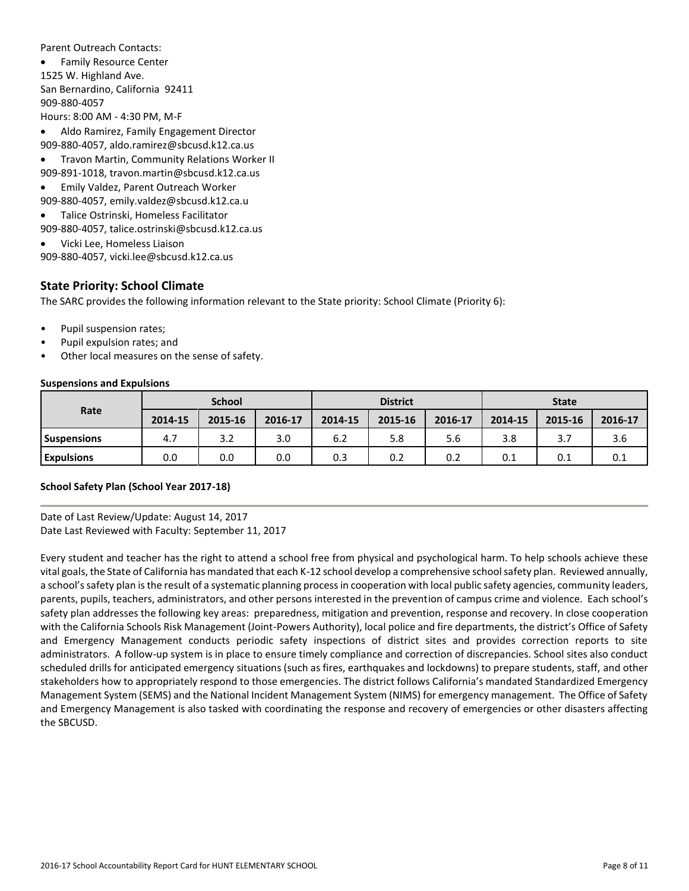Parent Outreach Contacts:

 Family Resource Center 1525 W. Highland Ave. San Bernardino, California 92411 909-880-4057 Hours: 8:00 AM - 4:30 PM, M-F

Aldo Ramirez, Family Engagement Director

909-880-4057, aldo.ramirez@sbcusd.k12.ca.us

Travon Martin, Community Relations Worker II

909-891-1018, travon.martin@sbcusd.k12.ca.us

- Emily Valdez, Parent Outreach Worker
- 909-880-4057, emily.valdez@sbcusd.k12.ca.u
- Talice Ostrinski, Homeless Facilitator

909-880-4057, talice.ostrinski@sbcusd.k12.ca.us

Vicki Lee, Homeless Liaison

909-880-4057, vicki.lee@sbcusd.k12.ca.us

# **State Priority: School Climate**

The SARC provides the following information relevant to the State priority: School Climate (Priority 6):

- Pupil suspension rates;
- Pupil expulsion rates; and
- Other local measures on the sense of safety.

#### **Suspensions and Expulsions**

|                    | <b>School</b> |         |         | <b>District</b> |         |         | <b>State</b> |         |         |
|--------------------|---------------|---------|---------|-----------------|---------|---------|--------------|---------|---------|
| Rate               | 2014-15       | 2015-16 | 2016-17 | 2014-15         | 2015-16 | 2016-17 | 2014-15      | 2015-16 | 2016-17 |
| <b>Suspensions</b> | 4.7           | 3.2     | 3.0     | 6.2             | 5.8     | 5.6     | 3.8          | 3.7     | 3.6     |
| <b>Expulsions</b>  | 0.0           | 0.0     | 0.0     | 0.3             | 0.2     | 0.2     | 0.1          | 0.1     | 0.1     |

# **School Safety Plan (School Year 2017-18)**

Date of Last Review/Update: August 14, 2017 Date Last Reviewed with Faculty: September 11, 2017

Every student and teacher has the right to attend a school free from physical and psychological harm. To help schools achieve these vital goals, the State of California has mandated that each K-12 school develop a comprehensive school safety plan. Reviewed annually, a school's safety plan is the result of a systematic planning process in cooperation with local public safety agencies, community leaders, parents, pupils, teachers, administrators, and other persons interested in the prevention of campus crime and violence. Each school's safety plan addresses the following key areas: preparedness, mitigation and prevention, response and recovery. In close cooperation with the California Schools Risk Management (Joint-Powers Authority), local police and fire departments, the district's Office of Safety and Emergency Management conducts periodic safety inspections of district sites and provides correction reports to site administrators. A follow-up system is in place to ensure timely compliance and correction of discrepancies. School sites also conduct scheduled drills for anticipated emergency situations (such as fires, earthquakes and lockdowns) to prepare students, staff, and other stakeholders how to appropriately respond to those emergencies. The district follows California's mandated Standardized Emergency Management System (SEMS) and the National Incident Management System (NIMS) for emergency management. The Office of Safety and Emergency Management is also tasked with coordinating the response and recovery of emergencies or other disasters affecting the SBCUSD.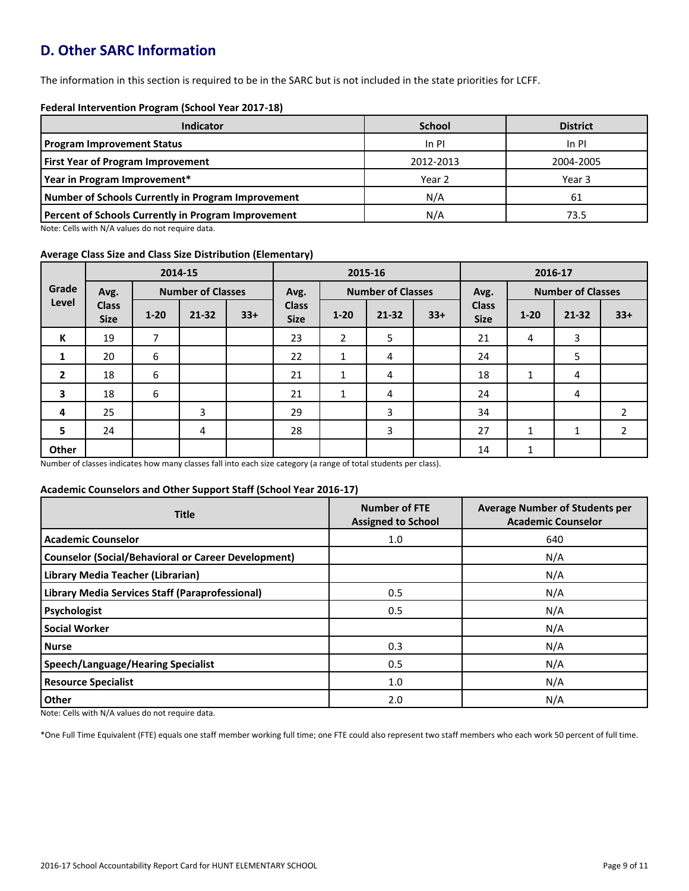# **D. Other SARC Information**

The information in this section is required to be in the SARC but is not included in the state priorities for LCFF.

### **Federal Intervention Program (School Year 2017-18)**

| Indicator                                                  | <b>School</b> | <b>District</b> |
|------------------------------------------------------------|---------------|-----------------|
| <b>Program Improvement Status</b>                          | In PI         | In PI           |
| <b>First Year of Program Improvement</b>                   | 2012-2013     | 2004-2005       |
| Year in Program Improvement*                               | Year 2        | Year 3          |
| Number of Schools Currently in Program Improvement         | N/A           | 61              |
| <b>Percent of Schools Currently in Program Improvement</b> | N/A           | 73.5            |

Note: Cells with N/A values do not require data.

### **Average Class Size and Class Size Distribution (Elementary)**

|                         |                             | 2014-15  |                          |       | 2015-16                     |                |                          |       | 2016-17                     |          |                          |                |
|-------------------------|-----------------------------|----------|--------------------------|-------|-----------------------------|----------------|--------------------------|-------|-----------------------------|----------|--------------------------|----------------|
| Grade                   | Avg.                        |          | <b>Number of Classes</b> |       | Avg.                        |                | <b>Number of Classes</b> |       | Avg.                        |          | <b>Number of Classes</b> |                |
| Level                   | <b>Class</b><br><b>Size</b> | $1 - 20$ | $21 - 32$                | $33+$ | <b>Class</b><br><b>Size</b> | $1 - 20$       | $21 - 32$                | $33+$ | <b>Class</b><br><b>Size</b> | $1 - 20$ | $21 - 32$                | $33+$          |
| К                       | 19                          | 7        |                          |       | 23                          | $\overline{2}$ | 5                        |       | 21                          | 4        | 3                        |                |
| 1                       | 20                          | 6        |                          |       | 22                          | 1              | 4                        |       | 24                          |          | 5                        |                |
| $\overline{2}$          | 18                          | 6        |                          |       | 21                          | 1              | 4                        |       | 18                          | 1        | 4                        |                |
| $\overline{\mathbf{3}}$ | 18                          | 6        |                          |       | 21                          | 1              | 4                        |       | 24                          |          | 4                        |                |
| 4                       | 25                          |          | 3                        |       | 29                          |                | 3                        |       | 34                          |          |                          | $\overline{2}$ |
| 5                       | 24                          |          | 4                        |       | 28                          |                | 3                        |       | 27                          | 1        | 1                        | $\overline{2}$ |
| Other                   |                             |          |                          |       |                             |                |                          |       | 14                          | 1        |                          |                |

Number of classes indicates how many classes fall into each size category (a range of total students per class).

#### **Academic Counselors and Other Support Staff (School Year 2016-17)**

| <b>Title</b>                                               | <b>Number of FTE</b><br><b>Assigned to School</b> | <b>Average Number of Students per</b><br><b>Academic Counselor</b> |  |  |
|------------------------------------------------------------|---------------------------------------------------|--------------------------------------------------------------------|--|--|
| <b>Academic Counselor</b>                                  | 1.0                                               | 640                                                                |  |  |
| <b>Counselor (Social/Behavioral or Career Development)</b> |                                                   | N/A                                                                |  |  |
| Library Media Teacher (Librarian)                          |                                                   | N/A                                                                |  |  |
| <b>Library Media Services Staff (Paraprofessional)</b>     | 0.5                                               | N/A                                                                |  |  |
| Psychologist                                               | 0.5                                               | N/A                                                                |  |  |
| <b>Social Worker</b>                                       |                                                   | N/A                                                                |  |  |
| <b>Nurse</b>                                               | 0.3                                               | N/A                                                                |  |  |
| <b>Speech/Language/Hearing Specialist</b>                  | 0.5                                               | N/A                                                                |  |  |
| <b>Resource Specialist</b>                                 | 1.0                                               | N/A                                                                |  |  |
| Other                                                      | 2.0                                               | N/A                                                                |  |  |

Note: Cells with N/A values do not require data.

\*One Full Time Equivalent (FTE) equals one staff member working full time; one FTE could also represent two staff members who each work 50 percent of full time.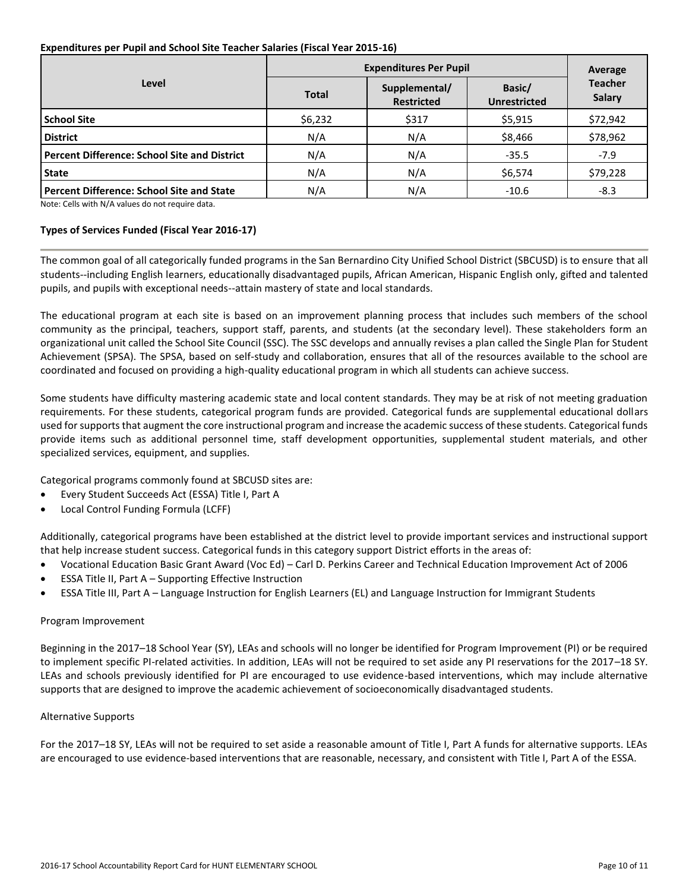#### **Expenditures per Pupil and School Site Teacher Salaries (Fiscal Year 2015-16)**

|                                                     | <b>Expenditures Per Pupil</b> | Average                            |                               |                                 |  |
|-----------------------------------------------------|-------------------------------|------------------------------------|-------------------------------|---------------------------------|--|
| Level                                               | <b>Total</b>                  | Supplemental/<br><b>Restricted</b> | Basic/<br><b>Unrestricted</b> | <b>Teacher</b><br><b>Salary</b> |  |
| <b>School Site</b>                                  | \$6,232                       | \$317                              | \$5,915                       | \$72,942                        |  |
| <b>District</b>                                     | N/A                           | N/A                                | \$8,466                       | \$78,962                        |  |
| <b>Percent Difference: School Site and District</b> | N/A                           | N/A                                | $-35.5$                       | $-7.9$                          |  |
| <b>State</b>                                        | N/A                           | N/A                                | \$6,574                       | \$79,228                        |  |
| <b>Percent Difference: School Site and State</b>    | N/A                           | N/A                                | $-10.6$                       | $-8.3$                          |  |

Note: Cells with N/A values do not require data.

### **Types of Services Funded (Fiscal Year 2016-17)**

The common goal of all categorically funded programs in the San Bernardino City Unified School District (SBCUSD) is to ensure that all students--including English learners, educationally disadvantaged pupils, African American, Hispanic English only, gifted and talented pupils, and pupils with exceptional needs--attain mastery of state and local standards.

The educational program at each site is based on an improvement planning process that includes such members of the school community as the principal, teachers, support staff, parents, and students (at the secondary level). These stakeholders form an organizational unit called the School Site Council (SSC). The SSC develops and annually revises a plan called the Single Plan for Student Achievement (SPSA). The SPSA, based on self-study and collaboration, ensures that all of the resources available to the school are coordinated and focused on providing a high-quality educational program in which all students can achieve success.

Some students have difficulty mastering academic state and local content standards. They may be at risk of not meeting graduation requirements. For these students, categorical program funds are provided. Categorical funds are supplemental educational dollars used for supports that augment the core instructional program and increase the academic success of these students. Categorical funds provide items such as additional personnel time, staff development opportunities, supplemental student materials, and other specialized services, equipment, and supplies.

Categorical programs commonly found at SBCUSD sites are:

- Every Student Succeeds Act (ESSA) Title I, Part A
- Local Control Funding Formula (LCFF)

Additionally, categorical programs have been established at the district level to provide important services and instructional support that help increase student success. Categorical funds in this category support District efforts in the areas of:

- Vocational Education Basic Grant Award (Voc Ed) Carl D. Perkins Career and Technical Education Improvement Act of 2006
- ESSA Title II, Part A Supporting Effective Instruction
- ESSA Title III, Part A Language Instruction for English Learners (EL) and Language Instruction for Immigrant Students

#### Program Improvement

Beginning in the 2017–18 School Year (SY), LEAs and schools will no longer be identified for Program Improvement (PI) or be required to implement specific PI-related activities. In addition, LEAs will not be required to set aside any PI reservations for the 2017–18 SY. LEAs and schools previously identified for PI are encouraged to use evidence-based interventions, which may include alternative supports that are designed to improve the academic achievement of socioeconomically disadvantaged students.

#### Alternative Supports

For the 2017–18 SY, LEAs will not be required to set aside a reasonable amount of Title I, Part A funds for alternative supports. LEAs are encouraged to use evidence-based interventions that are reasonable, necessary, and consistent with Title I, Part A of the ESSA.